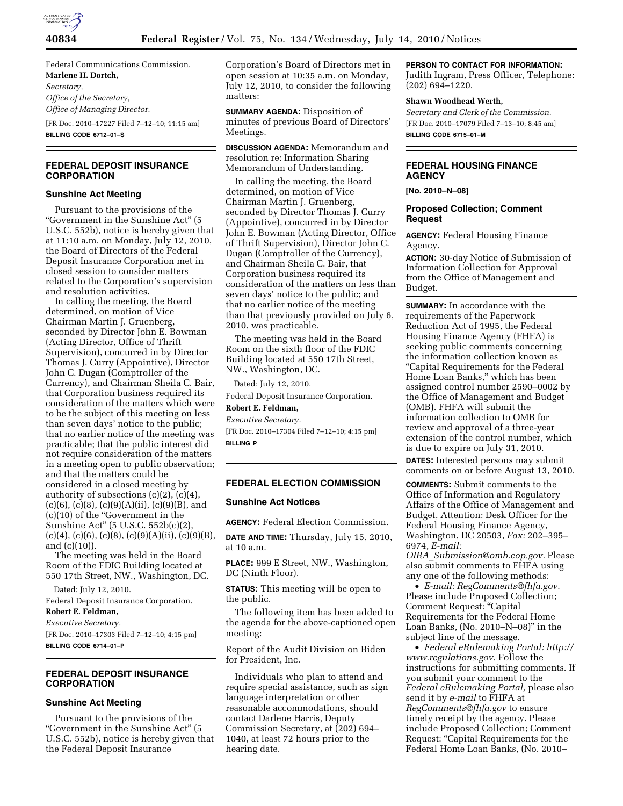

Federal Communications Commission. **Marlene H. Dortch,**  *Secretary, Office of the Secretary, Office of Managing Director.*  [FR Doc. 2010–17227 Filed 7–12–10; 11:15 am]

**BILLING CODE 6712–01–S** 

### **FEDERAL DEPOSIT INSURANCE CORPORATION**

#### **Sunshine Act Meeting**

Pursuant to the provisions of the ''Government in the Sunshine Act'' (5 U.S.C. 552b), notice is hereby given that at 11:10 a.m. on Monday, July 12, 2010, the Board of Directors of the Federal Deposit Insurance Corporation met in closed session to consider matters related to the Corporation's supervision and resolution activities.

In calling the meeting, the Board determined, on motion of Vice Chairman Martin J. Gruenberg, seconded by Director John E. Bowman (Acting Director, Office of Thrift Supervision), concurred in by Director Thomas J. Curry (Appointive), Director John C. Dugan (Comptroller of the Currency), and Chairman Sheila C. Bair, that Corporation business required its consideration of the matters which were to be the subject of this meeting on less than seven days' notice to the public; that no earlier notice of the meeting was practicable; that the public interest did not require consideration of the matters in a meeting open to public observation; and that the matters could be considered in a closed meeting by authority of subsections (c)(2), (c)(4),  $(c)(6)$ ,  $(c)(8)$ ,  $(c)(9)(A)(ii)$ ,  $(c)(9)(B)$ , and (c)(10) of the ''Government in the Sunshine Act'' (5 U.S.C. 552b(c)(2),  $(c)(4)$ ,  $(c)(6)$ ,  $(c)(8)$ ,  $(c)(9)(A)(ii)$ ,  $(c)(9)(B)$ , and (c)(10)).

The meeting was held in the Board Room of the FDIC Building located at 550 17th Street, NW., Washington, DC.

Dated: July 12, 2010.

Federal Deposit Insurance Corporation. **Robert E. Feldman,** 

*Executive Secretary.*  [FR Doc. 2010–17303 Filed 7–12–10; 4:15 pm] **BILLING CODE 6714–01–P** 

# **FEDERAL DEPOSIT INSURANCE CORPORATION**

## **Sunshine Act Meeting**

Pursuant to the provisions of the ''Government in the Sunshine Act'' (5 U.S.C. 552b), notice is hereby given that the Federal Deposit Insurance

Corporation's Board of Directors met in open session at 10:35 a.m. on Monday, July 12, 2010, to consider the following matters:

**SUMMARY AGENDA:** Disposition of minutes of previous Board of Directors' Meetings.

**DISCUSSION AGENDA:** Memorandum and resolution re: Information Sharing Memorandum of Understanding.

In calling the meeting, the Board determined, on motion of Vice Chairman Martin J. Gruenberg, seconded by Director Thomas J. Curry (Appointive), concurred in by Director John E. Bowman (Acting Director, Office of Thrift Supervision), Director John C. Dugan (Comptroller of the Currency), and Chairman Sheila C. Bair, that Corporation business required its consideration of the matters on less than seven days' notice to the public; and that no earlier notice of the meeting than that previously provided on July 6, 2010, was practicable.

The meeting was held in the Board Room on the sixth floor of the FDIC Building located at 550 17th Street, NW., Washington, DC.

Dated: July 12, 2010.

Federal Deposit Insurance Corporation. **Robert E. Feldman,** 

# *Executive Secretary.*

[FR Doc. 2010–17304 Filed 7–12–10; 4:15 pm] **BILLING P** 

#### **FEDERAL ELECTION COMMISSION**

# **Sunshine Act Notices**

**AGENCY:** Federal Election Commission.

**DATE AND TIME:** Thursday, July 15, 2010, at 10 a.m.

**PLACE:** 999 E Street, NW., Washington, DC (Ninth Floor).

**STATUS:** This meeting will be open to the public.

The following item has been added to the agenda for the above-captioned open meeting:

Report of the Audit Division on Biden for President, Inc.

Individuals who plan to attend and require special assistance, such as sign language interpretation or other reasonable accommodations, should contact Darlene Harris, Deputy Commission Secretary, at (202) 694– 1040, at least 72 hours prior to the hearing date.

**PERSON TO CONTACT FOR INFORMATION:** 

Judith Ingram, Press Officer, Telephone: (202) 694–1220.

# **Shawn Woodhead Werth,**

*Secretary and Clerk of the Commission.*  [FR Doc. 2010–17079 Filed 7–13–10; 8:45 am] **BILLING CODE 6715–01–M** 

# **FEDERAL HOUSING FINANCE AGENCY**

**[No. 2010–N–08]** 

## **Proposed Collection; Comment Request**

**AGENCY:** Federal Housing Finance Agency.

**ACTION:** 30-day Notice of Submission of Information Collection for Approval from the Office of Management and Budget.

**SUMMARY:** In accordance with the requirements of the Paperwork Reduction Act of 1995, the Federal Housing Finance Agency (FHFA) is seeking public comments concerning the information collection known as ''Capital Requirements for the Federal Home Loan Banks,'' which has been assigned control number 2590–0002 by the Office of Management and Budget (OMB). FHFA will submit the information collection to OMB for review and approval of a three-year extension of the control number, which is due to expire on July 31, 2010.

**DATES:** Interested persons may submit comments on or before August 13, 2010.

**COMMENTS:** Submit comments to the Office of Information and Regulatory Affairs of the Office of Management and Budget, Attention: Desk Officer for the Federal Housing Finance Agency, Washington, DC 20503, *Fax:* 202–395– 6974, *E-mail:* 

*OIRA*\_*Submission@omb.eop.gov.* Please also submit comments to FHFA using any one of the following methods:

• *E-mail: RegComments@fhfa.gov.*  Please include Proposed Collection; Comment Request: ''Capital Requirements for the Federal Home Loan Banks, (No. 2010–N–08)'' in the subject line of the message.

• *Federal eRulemaking Portal: http:// www.regulations.gov.* Follow the instructions for submitting comments. If you submit your comment to the *Federal eRulemaking Portal,* please also send it by *e-mail* to FHFA at *RegComments@fhfa.gov* to ensure timely receipt by the agency. Please include Proposed Collection; Comment Request: ''Capital Requirements for the Federal Home Loan Banks, (No. 2010–